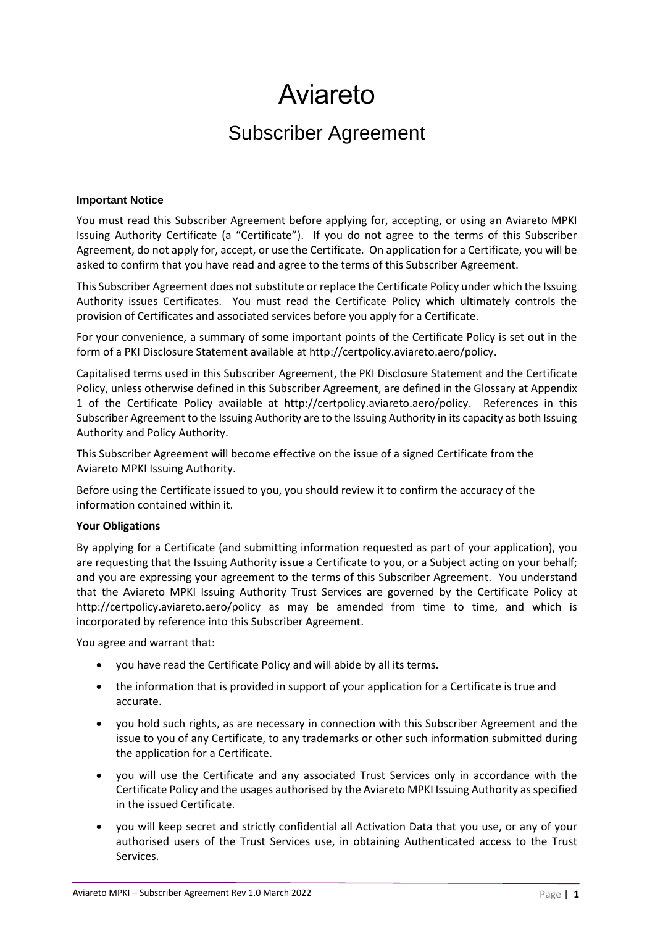# Aviareto

## Subscriber Agreement

#### **Important Notice**

You must read this Subscriber Agreement before applying for, accepting, or using an Aviareto MPKI Issuing Authority Certificate (a "Certificate"). If you do not agree to the terms of this Subscriber Agreement, do not apply for, accept, or use the Certificate. On application for a Certificate, you will be asked to confirm that you have read and agree to the terms of this Subscriber Agreement.

This Subscriber Agreement does not substitute or replace the Certificate Policy under which the Issuing Authority issues Certificates. You must read the Certificate Policy which ultimately controls the provision of Certificates and associated services before you apply for a Certificate.

For your convenience, a summary of some important points of the Certificate Policy is set out in the form of a PKI Disclosure Statement available at http://certpolicy.aviareto.aero/policy.

Capitalised terms used in this Subscriber Agreement, the PKI Disclosure Statement and the Certificate Policy, unless otherwise defined in this Subscriber Agreement, are defined in the Glossary at Appendix 1 of the Certificate Policy available at http://certpolicy.aviareto.aero/policy. References in this Subscriber Agreement to the Issuing Authority are to the Issuing Authority in its capacity as both Issuing Authority and Policy Authority.

This Subscriber Agreement will become effective on the issue of a signed Certificate from the Aviareto MPKI Issuing Authority.

Before using the Certificate issued to you, you should review it to confirm the accuracy of the information contained within it.

#### **Your Obligations**

By applying for a Certificate (and submitting information requested as part of your application), you are requesting that the Issuing Authority issue a Certificate to you, or a Subject acting on your behalf; and you are expressing your agreement to the terms of this Subscriber Agreement. You understand that the Aviareto MPKI Issuing Authority Trust Services are governed by the Certificate Policy at http://certpolicy.aviareto.aero/policy as may be amended from time to time, and which is incorporated by reference into this Subscriber Agreement.

You agree and warrant that:

- you have read the Certificate Policy and will abide by all its terms.
- the information that is provided in support of your application for a Certificate is true and accurate.
- you hold such rights, as are necessary in connection with this Subscriber Agreement and the issue to you of any Certificate, to any trademarks or other such information submitted during the application for a Certificate.
- you will use the Certificate and any associated Trust Services only in accordance with the Certificate Policy and the usages authorised by the Aviareto MPKI Issuing Authority as specified in the issued Certificate.
- you will keep secret and strictly confidential all Activation Data that you use, or any of your authorised users of the Trust Services use, in obtaining Authenticated access to the Trust Services.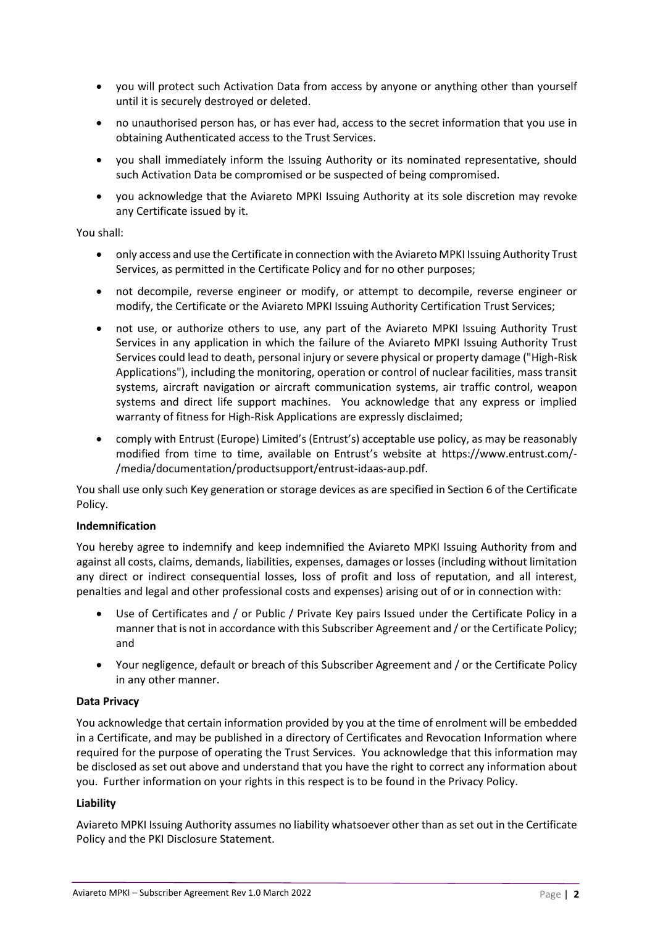- you will protect such Activation Data from access by anyone or anything other than yourself until it is securely destroyed or deleted.
- no unauthorised person has, or has ever had, access to the secret information that you use in obtaining Authenticated access to the Trust Services.
- you shall immediately inform the Issuing Authority or its nominated representative, should such Activation Data be compromised or be suspected of being compromised.
- you acknowledge that the Aviareto MPKI Issuing Authority at its sole discretion may revoke any Certificate issued by it.

#### You shall:

- only access and use the Certificate in connection with the Aviareto MPKI Issuing Authority Trust Services, as permitted in the Certificate Policy and for no other purposes;
- not decompile, reverse engineer or modify, or attempt to decompile, reverse engineer or modify, the Certificate or the Aviareto MPKI Issuing Authority Certification Trust Services;
- not use, or authorize others to use, any part of the Aviareto MPKI Issuing Authority Trust Services in any application in which the failure of the Aviareto MPKI Issuing Authority Trust Services could lead to death, personal injury or severe physical or property damage ("High-Risk Applications"), including the monitoring, operation or control of nuclear facilities, mass transit systems, aircraft navigation or aircraft communication systems, air traffic control, weapon systems and direct life support machines. You acknowledge that any express or implied warranty of fitness for High-Risk Applications are expressly disclaimed;
- comply with Entrust (Europe) Limited's (Entrust's) acceptable use policy, as may be reasonably modified from time to time, available on Entrust's website at https://www.entrust.com/- /media/documentation/productsupport/entrust-idaas-aup.pdf.

You shall use only such Key generation or storage devices as are specified in Section 6 of the Certificate Policy.

#### **Indemnification**

You hereby agree to indemnify and keep indemnified the Aviareto MPKI Issuing Authority from and against all costs, claims, demands, liabilities, expenses, damages or losses (including without limitation any direct or indirect consequential losses, loss of profit and loss of reputation, and all interest, penalties and legal and other professional costs and expenses) arising out of or in connection with:

- Use of Certificates and / or Public / Private Key pairs Issued under the Certificate Policy in a manner that is not in accordance with this Subscriber Agreement and / or the Certificate Policy; and
- Your negligence, default or breach of this Subscriber Agreement and / or the Certificate Policy in any other manner.

#### **Data Privacy**

You acknowledge that certain information provided by you at the time of enrolment will be embedded in a Certificate, and may be published in a directory of Certificates and Revocation Information where required for the purpose of operating the Trust Services. You acknowledge that this information may be disclosed as set out above and understand that you have the right to correct any information about you. Further information on your rights in this respect is to be found in the Privacy Policy.

#### **Liability**

Aviareto MPKI Issuing Authority assumes no liability whatsoever other than as set out in the Certificate Policy and the PKI Disclosure Statement.